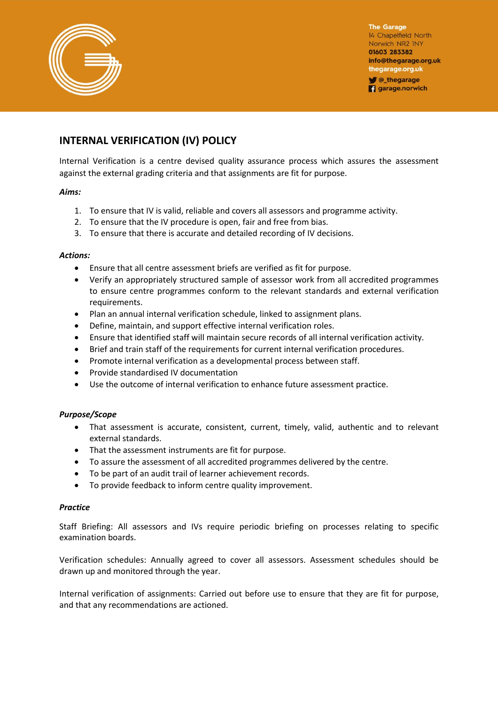

The Garage 14 Chapelfield North Norwich NR2 INY 01603 283382 info@thegarage.org.uk thegarage.org.uk **V** @\_thegarage

**g** garage.norwich

# **INTERNAL VERIFICATION (IV) POLICY**

Internal Verification is a centre devised quality assurance process which assures the assessment against the external grading criteria and that assignments are fit for purpose.

## *Aims:*

- 1. To ensure that IV is valid, reliable and covers all assessors and programme activity.
- 2. To ensure that the IV procedure is open, fair and free from bias.
- 3. To ensure that there is accurate and detailed recording of IV decisions.

### *Actions:*

- Ensure that all centre assessment briefs are verified as fit for purpose.
- Verify an appropriately structured sample of assessor work from all accredited programmes to ensure centre programmes conform to the relevant standards and external verification requirements.
- Plan an annual internal verification schedule, linked to assignment plans.
- Define, maintain, and support effective internal verification roles.
- Ensure that identified staff will maintain secure records of all internal verification activity.
- Brief and train staff of the requirements for current internal verification procedures.
- Promote internal verification as a developmental process between staff.
- Provide standardised IV documentation
- Use the outcome of internal verification to enhance future assessment practice.

### *Purpose/Scope*

- That assessment is accurate, consistent, current, timely, valid, authentic and to relevant external standards.
- That the assessment instruments are fit for purpose.
- To assure the assessment of all accredited programmes delivered by the centre.
- To be part of an audit trail of learner achievement records.
- To provide feedback to inform centre quality improvement.

### *Practice*

Staff Briefing: All assessors and IVs require periodic briefing on processes relating to specific examination boards.

Verification schedules: Annually agreed to cover all assessors. Assessment schedules should be drawn up and monitored through the year.

Internal verification of assignments: Carried out before use to ensure that they are fit for purpose, and that any recommendations are actioned.